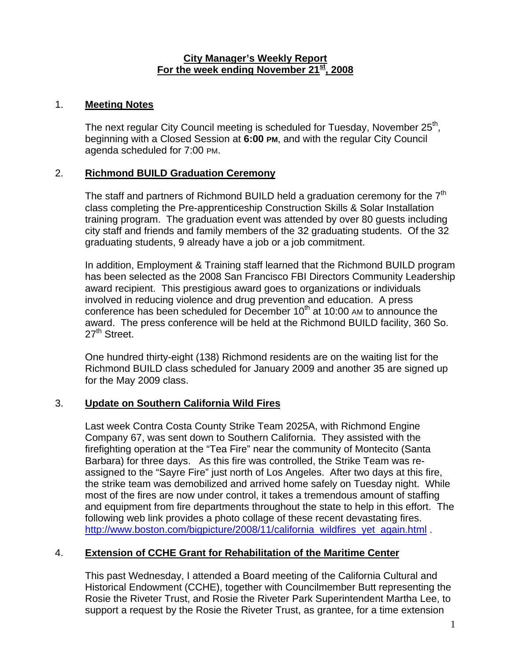#### **City Manager's Weekly Report** For the week ending November 21<sup>st</sup>, 2008

#### 1. **Meeting Notes**

The next regular City Council meeting is scheduled for Tuesday, November 25<sup>th</sup>, beginning with a Closed Session at **6:00 PM**, and with the regular City Council agenda scheduled for 7:00 PM.

# 2. **Richmond BUILD Graduation Ceremony**

The staff and partners of Richmond BUILD held a graduation ceremony for the  $7<sup>th</sup>$ class completing the Pre-apprenticeship Construction Skills & Solar Installation training program. The graduation event was attended by over 80 guests including city staff and friends and family members of the 32 graduating students. Of the 32 graduating students, 9 already have a job or a job commitment.

In addition, Employment & Training staff learned that the Richmond BUILD program has been selected as the 2008 San Francisco FBI Directors Community Leadership award recipient. This prestigious award goes to organizations or individuals involved in reducing violence and drug prevention and education. A press conference has been scheduled for December  $10<sup>th</sup>$  at 10:00 AM to announce the award. The press conference will be held at the Richmond BUILD facility, 360 So.  $27<sup>th</sup>$  Street.

One hundred thirty-eight (138) Richmond residents are on the waiting list for the Richmond BUILD class scheduled for January 2009 and another 35 are signed up for the May 2009 class.

# 3. **Update on Southern California Wild Fires**

Last week Contra Costa County Strike Team 2025A, with Richmond Engine Company 67, was sent down to Southern California. They assisted with the firefighting operation at the "Tea Fire" near the community of Montecito (Santa Barbara) for three days. As this fire was controlled, the Strike Team was reassigned to the "Sayre Fire" just north of Los Angeles. After two days at this fire, the strike team was demobilized and arrived home safely on Tuesday night. While most of the fires are now under control, it takes a tremendous amount of staffing and equipment from fire departments throughout the state to help in this effort. The following web link provides a photo collage of these recent devastating fires. [http://www.boston.com/bigpicture/2008/11/california\\_wildfires\\_yet\\_again.html](http://www.boston.com/bigpicture/2008/11/california_wildfires_yet_again.html) .

# 4. **Extension of CCHE Grant for Rehabilitation of the Maritime Center**

This past Wednesday, I attended a Board meeting of the California Cultural and Historical Endowment (CCHE), together with Councilmember Butt representing the Rosie the Riveter Trust, and Rosie the Riveter Park Superintendent Martha Lee, to support a request by the Rosie the Riveter Trust, as grantee, for a time extension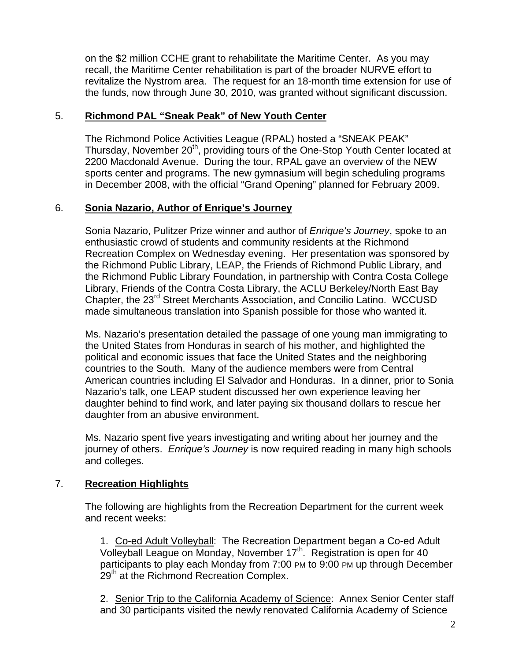on the \$2 million CCHE grant to rehabilitate the Maritime Center. As you may recall, the Maritime Center rehabilitation is part of the broader NURVE effort to revitalize the Nystrom area. The request for an 18-month time extension for use of the funds, now through June 30, 2010, was granted without significant discussion.

#### 5. **Richmond PAL "Sneak Peak" of New Youth Center**

The Richmond Police Activities League (RPAL) hosted a "SNEAK PEAK" Thursday, November 20<sup>th</sup>, providing tours of the One-Stop Youth Center located at 2200 Macdonald Avenue. During the tour, RPAL gave an overview of the NEW sports center and programs. The new gymnasium will begin scheduling programs in December 2008, with the official "Grand Opening" planned for February 2009.

# 6. **Sonia Nazario, Author of Enrique's Journey**

Sonia Nazario, Pulitzer Prize winner and author of *Enrique's Journey*, spoke to an enthusiastic crowd of students and community residents at the Richmond Recreation Complex on Wednesday evening. Her presentation was sponsored by the Richmond Public Library, LEAP, the Friends of Richmond Public Library, and the Richmond Public Library Foundation, in partnership with Contra Costa College Library, Friends of the Contra Costa Library, the ACLU Berkeley/North East Bay Chapter, the 23<sup>rd</sup> Street Merchants Association, and Concilio Latino. WCCUSD made simultaneous translation into Spanish possible for those who wanted it.

Ms. Nazario's presentation detailed the passage of one young man immigrating to the United States from Honduras in search of his mother, and highlighted the political and economic issues that face the United States and the neighboring countries to the South. Many of the audience members were from Central American countries including El Salvador and Honduras. In a dinner, prior to Sonia Nazario's talk, one LEAP student discussed her own experience leaving her daughter behind to find work, and later paying six thousand dollars to rescue her daughter from an abusive environment.

Ms. Nazario spent five years investigating and writing about her journey and the journey of others. *Enrique's Journey* is now required reading in many high schools and colleges.

# 7. **Recreation Highlights**

The following are highlights from the Recreation Department for the current week and recent weeks:

1. Co-ed Adult Volleyball: The Recreation Department began a Co-ed Adult Volleyball League on Monday, November  $17<sup>th</sup>$ . Registration is open for 40 participants to play each Monday from 7:00 PM to 9:00 PM up through December 29<sup>th</sup> at the Richmond Recreation Complex.

2. Senior Trip to the California Academy of Science: Annex Senior Center staff and 30 participants visited the newly renovated California Academy of Science